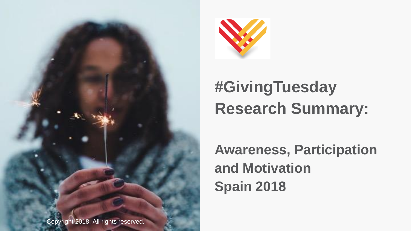



# **#GivingTuesday Research Summary:**

**Awareness, Participation and Motivation Spain 2018**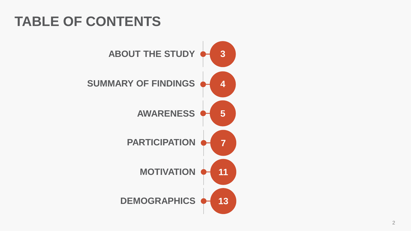## **TABLE OF CONTENTS**

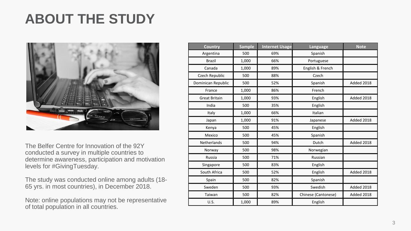### **ABOUT THE STUDY**



The Belfer Centre for Innovation of the 92Y conducted a survey in multiple countries to determine awareness, participation and motivation levels for #GivingTuesday.

The study was conducted online among adults (18- 65 yrs. in most countries), in December 2018.

Note: online populations may not be representative of total population in all countries.

| Country              | <b>Sample</b> | <b>Internet Usage</b> | Language            | <b>Note</b> |
|----------------------|---------------|-----------------------|---------------------|-------------|
| Argentina            | 500           | 69%                   | Spanish             |             |
| <b>Brazil</b>        | 1,000         | 66%                   | Portuguese          |             |
| Canada               | 1,000         | 89%                   | English & French    |             |
| Czech Republic       | 500           | 88%                   | Czech               |             |
| Dominican Republic   | 500           | 52%                   | Spanish             | Added 2018  |
| France               | 1,000         | 86%                   | French              |             |
| <b>Great Britain</b> | 1,000         | 93%                   | English             | Added 2018  |
| India                | 500           | 35%                   | English             |             |
| Italy                | 1,000         | 66%                   | Italian             |             |
| Japan                | 1,000         | 91%                   | Japanese            | Added 2018  |
| Kenya                | 500           | 45%                   | English             |             |
| Mexico               | 500           | 45%                   | Spanish             |             |
| Netherlands          | 500           | 94%                   | Dutch               | Added 2018  |
| Norway               | 500           | 98%                   | Norwegian           |             |
| Russia               | 500           | 71%                   | Russian             |             |
| Singapore            | 500           | 83%                   | English             |             |
| South Africa         | 500           | 52%                   | English             | Added 2018  |
| Spain                | 500           | 82%                   | Spanish             |             |
| Sweden               | 500           | 93%                   | Swedish             | Added 2018  |
| Taiwan               | 500           | 82%                   | Chinese (Cantonese) | Added 2018  |
| <b>U.S.</b>          | 1,000         | 89%                   | English             |             |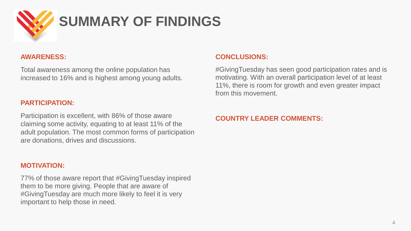

#### **AWARENESS:**

Total awareness among the online population has increased to 16% and is highest among young adults.

#### **PARTICIPATION:**

Participation is excellent, with 86% of those aware claiming some activity, equating to at least 11% of the adult population. The most common forms of participation are donations, drives and discussions.

#### **MOTIVATION:**

77% of those aware report that #GivingTuesday inspired them to be more giving. People that are aware of #GivingTuesday are much more likely to feel it is very important to help those in need.

#### **CONCLUSIONS:**

#GivingTuesday has seen good participation rates and is motivating. With an overall participation level of at least 11%, there is room for growth and even greater impact from this movement.

#### **COUNTRY LEADER COMMENTS:**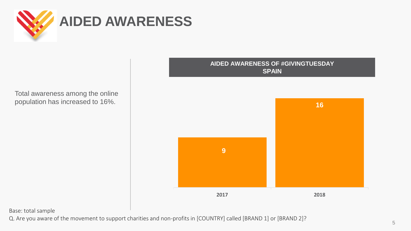

Total awareness among the online population has increased to 16%.



Base: total sample

Q. Are you aware of the movement to support charities and non-profits in [COUNTRY] called [BRAND 1] or [BRAND 2]?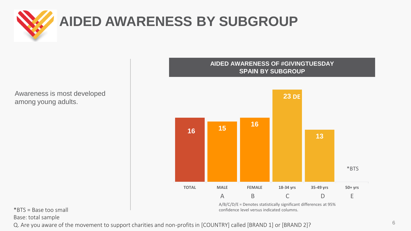

## **AIDED AWARENESS BY SUBGROUP**

Awareness is most developed among young adults.



 $*$ BTS = Base too small

Base: total sample

Q. Are you aware of the movement to support charities and non-profits in [COUNTRY] called [BRAND 1] or [BRAND 2]?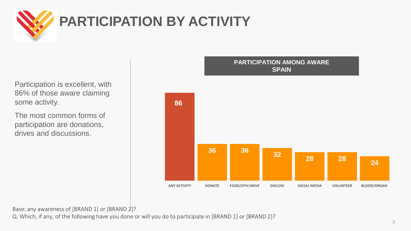

Participation is excellent, with 86% of those aware claiming some activity.

The most common forms of participation are donations, drives and discussions.



Base: any awareness of [BRAND 1] or [BRAND 2]?

Q. Which, if any, of the following have you done or will you do to participate in [BRAND 1] or [BRAND 2]?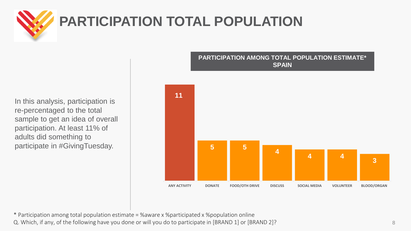

## **PARTICIPATION TOTAL POPULATION**

In this analysis, participation is re-percentaged to the total sample to get an idea of overall participation. At least 11% of adults did something to participate in #GivingTuesday.



**PARTICIPATION AMONG TOTAL POPULATION ESTIMATE\* SPAIN**

\* Participation among total population estimate = %aware x %participated x %population online Q. Which, if any, of the following have you done or will you do to participate in [BRAND 1] or [BRAND 2]?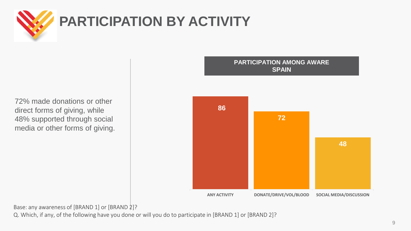

72% made donations or other direct forms of giving, while 48% supported through social media or other forms of giving.



Base: any awareness of [BRAND 1] or [BRAND 2]?

Q. Which, if any, of the following have you done or will you do to participate in [BRAND 1] or [BRAND 2]?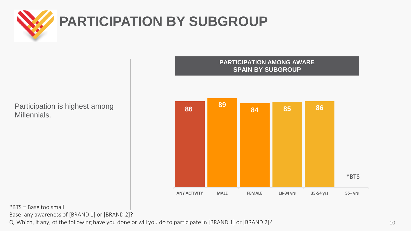

Participation is highest among Millennials.

#### **PARTICIPATION AMONG AWARE SPAIN BY SUBGROUP**



\*BTS = Base too small

Base: any awareness of [BRAND 1] or [BRAND 2]?

Q. Which, if any, of the following have you done or will you do to participate in [BRAND 1] or [BRAND 2]?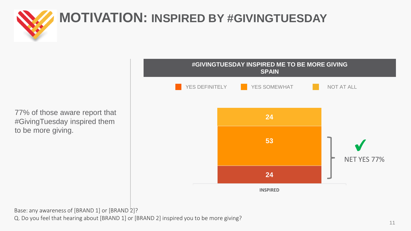

77% of those aware report that #GivingTuesday inspired them to be more giving.



Base: any awareness of [BRAND 1] or [BRAND 2]? Q. Do you feel that hearing about [BRAND 1] or [BRAND 2] inspired you to be more giving?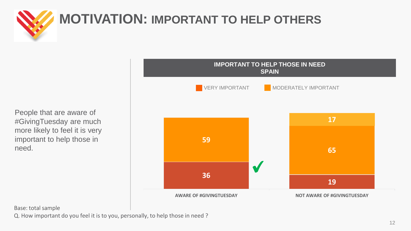

## **MOTIVATION: IMPORTANT TO HELP OTHERS**

People that are aware of #GivingTuesday are much more likely to feel it is very important to help those in need.



Base: total sample

Q. How important do you feel it is to you, personally, to help those in need ?